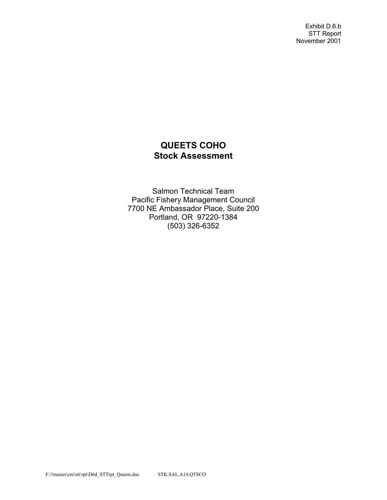Exhibit D.6.b STT Report November 2001

# **QUEETS COHO Stock Assessment**

Salmon Technical Team Pacific Fishery Management Council 7700 NE Ambassador Place, Suite 200 Portland, OR 97220-1384 (503) 326-6352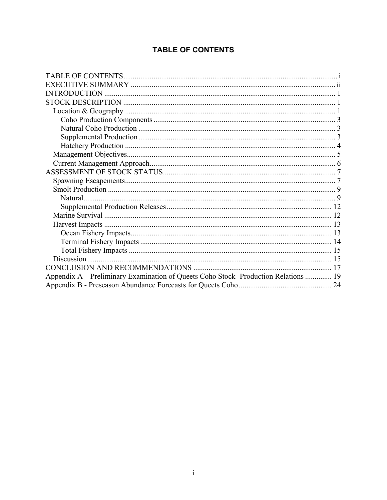# **TABLE OF CONTENTS**

| Appendix A – Preliminary Examination of Queets Coho Stock- Production Relations  19 |  |
|-------------------------------------------------------------------------------------|--|
|                                                                                     |  |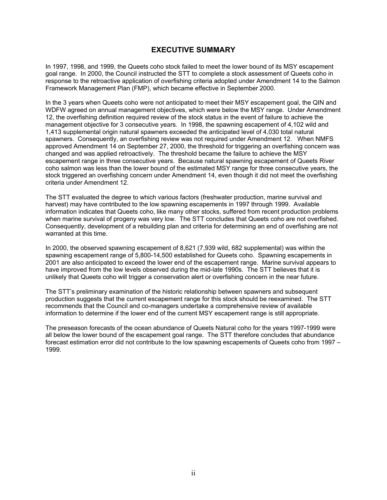## **EXECUTIVE SUMMARY**

In 1997, 1998, and 1999, the Queets coho stock failed to meet the lower bound of its MSY escapement goal range. In 2000, the Council instructed the STT to complete a stock assessment of Queets coho in response to the retroactive application of overfishing criteria adopted under Amendment 14 to the Salmon Framework Management Plan (FMP), which became effective in September 2000.

In the 3 years when Queets coho were not anticipated to meet their MSY escapement goal, the QIN and WDFW agreed on annual management objectives, which were below the MSY range. Under Amendment 12, the overfishing definition required review of the stock status in the event of failure to achieve the management objective for 3 consecutive years. In 1998, the spawning escapement of 4,102 wild and 1,413 supplemental origin natural spawners exceeded the anticipated level of 4,030 total natural spawners. Consequently, an overfishing review was not required under Amendment 12. When NMFS approved Amendment 14 on September 27, 2000, the threshold for triggering an overfishing concern was changed and was applied retroactively. The threshold became the failure to achieve the MSY escapement range in three consecutive years. Because natural spawning escapement of Queets River coho salmon was less than the lower bound of the estimated MSY range for three consecutive years, the stock triggered an overfishing concern under Amendment 14, even though it did not meet the overfishing criteria under Amendment 12.

The STT evaluated the degree to which various factors (freshwater production, marine survival and harvest) may have contributed to the low spawning escapements in 1997 through 1999. Available information indicates that Queets coho, like many other stocks, suffered from recent production problems when marine survival of progeny was very low. The STT concludes that Queets coho are not overfished. Consequently, development of a rebuilding plan and criteria for determining an end of overfishing are not warranted at this time.

In 2000, the observed spawning escapement of 8,621 (7,939 wild, 682 supplemental) was within the spawning escapement range of 5,800-14,500 established for Queets coho. Spawning escapements in 2001 are also anticipated to exceed the lower end of the escapement range. Marine survival appears to have improved from the low levels observed during the mid-late 1990s. The STT believes that it is unlikely that Queets coho will trigger a conservation alert or overfishing concern in the near future.

The STT's preliminary examination of the historic relationship between spawners and subsequent production suggests that the current escapement range for this stock should be reexamined. The STT recommends that the Council and co-managers undertake a comprehensive review of available information to determine if the lower end of the current MSY escapement range is still appropriate.

The preseason forecasts of the ocean abundance of Queets Natural coho for the years 1997-1999 were all below the lower bound of the escapement goal range. The STT therefore concludes that abundance forecast estimation error did not contribute to the low spawning escapements of Queets coho from 1997 – 1999.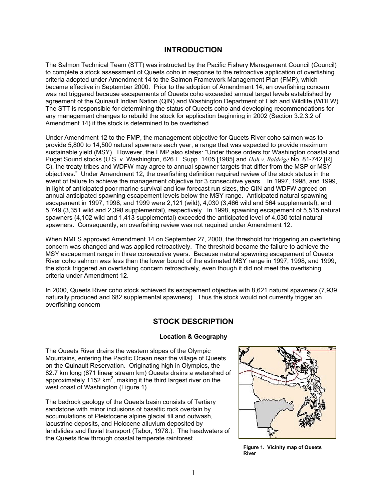## **INTRODUCTION**

The Salmon Technical Team (STT) was instructed by the Pacific Fishery Management Council (Council) to complete a stock assessment of Queets coho in response to the retroactive application of overfishing criteria adopted under Amendment 14 to the Salmon Framework Management Plan (FMP), which became effective in September 2000. Prior to the adoption of Amendment 14, an overfishing concern was not triggered because escapements of Queets coho exceeded annual target levels established by agreement of the Quinault Indian Nation (QIN) and Washington Department of Fish and Wildlife (WDFW). The STT is responsible for determining the status of Queets coho and developing recommendations for any management changes to rebuild the stock for application beginning in 2002 (Section 3.2.3.2 of Amendment 14) if the stock is determined to be overfished.

Under Amendment 12 to the FMP, the management objective for Queets River coho salmon was to provide 5,800 to 14,500 natural spawners each year, a range that was expected to provide maximum sustainable yield (MSY). However, the FMP also states: "Under those orders for Washington coastal and Puget Sound stocks (U.S. v. Washington, 626 F. Supp. 1405 [1985] and *Hoh v. Baldrige* No. 81-742 [R] C), the treaty tribes and WDFW may agree to annual spawner targets that differ from the MSP or MSY objectives." Under Amendment 12, the overfishing definition required review of the stock status in the event of failure to achieve the management objective for 3 consecutive years. In 1997, 1998, and 1999, in light of anticipated poor marine survival and low forecast run sizes, the QIN and WDFW agreed on annual anticipated spawning escapement levels below the MSY range. Anticipated natural spawning escapement in 1997, 1998, and 1999 were 2,121 (wild), 4,030 (3,466 wild and 564 supplemental), and 5,749 (3,351 wild and 2,398 supplemental), respectively. In 1998, spawning escapement of 5,515 natural spawners (4,102 wild and 1,413 supplemental) exceeded the anticipated level of 4,030 total natural spawners. Consequently, an overfishing review was not required under Amendment 12.

When NMFS approved Amendment 14 on September 27, 2000, the threshold for triggering an overfishing concern was changed and was applied retroactively. The threshold became the failure to achieve the MSY escapement range in three consecutive years. Because natural spawning escapement of Queets River coho salmon was less than the lower bound of the estimated MSY range in 1997, 1998, and 1999, the stock triggered an overfishing concern retroactively, even though it did not meet the overfishing criteria under Amendment 12.

In 2000, Queets River coho stock achieved its escapement objective with 8,621 natural spawners (7,939 naturally produced and 682 supplemental spawners). Thus the stock would not currently trigger an overfishing concern

## **STOCK DESCRIPTION**

## **Location & Geography**

The Queets River drains the western slopes of the Olympic Mountains, entering the Pacific Ocean near the village of Queets on the Quinault Reservation. Originating high in Olympics, the 82.7 km long (871 linear stream km) Queets drains a watershed of approximately 1152 km<sup>2</sup>, making it the third largest river on the west coast of Washington (Figure 1).

The bedrock geology of the Queets basin consists of Tertiary sandstone with minor inclusions of basaltic rock overlain by accumulations of Pleistocene alpine glacial till and outwash, lacustrine deposits, and Holocene alluvium deposited by landslides and fluvial transport (Tabor, 1978.). The headwaters of the Queets flow through coastal temperate rainforest.



**Figure 1. Vicinity map of Queets River**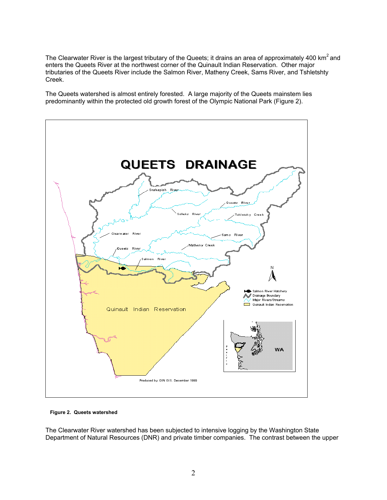The Clearwater River is the largest tributary of the Queets; it drains an area of approximately 400 km<sup>2</sup> and enters the Queets River at the northwest corner of the Quinault Indian Reservation. Other major tributaries of the Queets River include the Salmon River, Matheny Creek, Sams River, and Tshletshty Creek.

The Queets watershed is almost entirely forested. A large majority of the Queets mainstem lies predominantly within the protected old growth forest of the Olympic National Park (Figure 2).



**Figure 2. Queets watershed** 

The Clearwater River watershed has been subjected to intensive logging by the Washington State Department of Natural Resources (DNR) and private timber companies. The contrast between the upper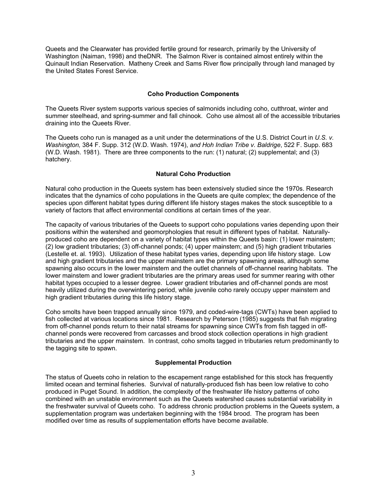Queets and the Clearwater has provided fertile ground for research, primarily by the University of Washington (Naiman, 1998) and theDNR. The Salmon River is contained almost entirely within the Quinault Indian Reservation. Matheny Creek and Sams River flow principally through land managed by the United States Forest Service.

### **Coho Production Components**

The Queets River system supports various species of salmonids including coho, cutthroat, winter and summer steelhead, and spring-summer and fall chinook. Coho use almost all of the accessible tributaries draining into the Queets River.

The Queets coho run is managed as a unit under the determinations of the U.S. District Court in *U.S. v. Washington,* 384 F. Supp. 312 (W.D. Wash. 1974), *and Hoh Indian Tribe v. Baldrige*, 522 F. Supp. 683 (W.D. Wash. 1981). There are three components to the run: (1) natural; (2) supplemental; and (3) hatchery.

## **Natural Coho Production**

Natural coho production in the Queets system has been extensively studied since the 1970s. Research indicates that the dynamics of coho populations in the Queets are quite complex; the dependence of the species upon different habitat types during different life history stages makes the stock susceptible to a variety of factors that affect environmental conditions at certain times of the year.

The capacity of various tributaries of the Queets to support coho populations varies depending upon their positions within the watershed and geomorphologies that result in different types of habitat. Naturallyproduced coho are dependent on a variety of habitat types within the Queets basin: (1) lower mainstem; (2) low gradient tributaries; (3) off-channel ponds; (4) upper mainstem; and (5) high gradient tributaries (Lestelle et. al. 1993). Utilization of these habitat types varies, depending upon life history stage. Low and high gradient tributaries and the upper mainstem are the primary spawning areas, although some spawning also occurs in the lower mainstem and the outlet channels of off-channel rearing habitats. The lower mainstem and lower gradient tributaries are the primary areas used for summer rearing with other habitat types occupied to a lesser degree. Lower gradient tributaries and off-channel ponds are most heavily utilized during the overwintering period, while juvenile coho rarely occupy upper mainstem and high gradient tributaries during this life history stage.

Coho smolts have been trapped annually since 1979, and coded-wire-tags (CWTs) have been applied to fish collected at various locations since 1981. Research by Peterson (1985) suggests that fish migrating from off-channel ponds return to their natal streams for spawning since CWTs from fish tagged in offchannel ponds were recovered from carcasses and brood stock collection operations in high gradient tributaries and the upper mainstem. In contrast, coho smolts tagged in tributaries return predominantly to the tagging site to spawn.

#### **Supplemental Production**

The status of Queets coho in relation to the escapement range established for this stock has frequently limited ocean and terminal fisheries. Survival of naturally-produced fish has been low relative to coho produced in Puget Sound. In addition, the complexity of the freshwater life history patterns of coho combined with an unstable environment such as the Queets watershed causes substantial variability in the freshwater survival of Queets coho. To address chronic production problems in the Queets system, a supplementation program was undertaken beginning with the 1984 brood. The program has been modified over time as results of supplementation efforts have become available.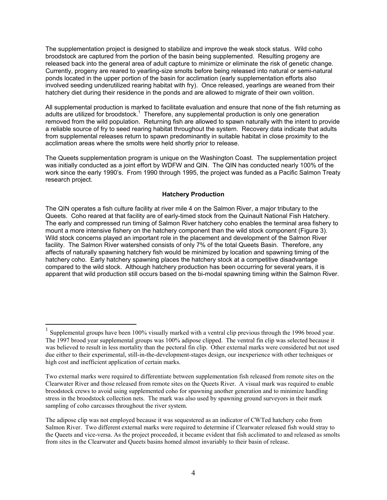The supplementation project is designed to stabilize and improve the weak stock status. Wild coho broodstock are captured from the portion of the basin being supplemented. Resulting progeny are released back into the general area of adult capture to minimize or eliminate the risk of genetic change. Currently, progeny are reared to yearling-size smolts before being released into natural or semi-natural ponds located in the upper portion of the basin for acclimation (early supplementation efforts also involved seeding underutilized rearing habitat with fry). Once released, yearlings are weaned from their hatchery diet during their residence in the ponds and are allowed to migrate of their own volition.

All supplemental production is marked to facilitate evaluation and ensure that none of the fish returning as adults are utilized for broodstock.<sup>1</sup> Therefore, any supplemental production is only one generation removed from the wild population. Returning fish are allowed to spawn naturally with the intent to provide a reliable source of fry to seed rearing habitat throughout the system. Recovery data indicate that adults from supplemental releases return to spawn predominantly in suitable habitat in close proximity to the acclimation areas where the smolts were held shortly prior to release.

The Queets supplementation program is unique on the Washington Coast. The supplementation project was initially conducted as a joint effort by WDFW and QIN. The QIN has conducted nearly 100% of the work since the early 1990's. From 1990 through 1995, the project was funded as a Pacific Salmon Treaty research project.

### **Hatchery Production**

The QIN operates a fish culture facility at river mile 4 on the Salmon River, a major tributary to the Queets. Coho reared at that facility are of early-timed stock from the Quinault National Fish Hatchery. The early and compressed run timing of Salmon River hatchery coho enables the terminal area fishery to mount a more intensive fishery on the hatchery component than the wild stock component (Figure 3). Wild stock concerns played an important role in the placement and development of the Salmon River facility. The Salmon River watershed consists of only 7% of the total Queets Basin. Therefore, any affects of naturally spawning hatchery fish would be minimized by location and spawning timing of the hatchery coho. Early hatchery spawning places the hatchery stock at a competitive disadvantage compared to the wild stock. Although hatchery production has been occurring for several years, it is apparent that wild production still occurs based on the bi-modal spawning timing within the Salmon River.

 $\overline{a}$ 

<sup>&</sup>lt;sup>1</sup> Supplemental groups have been 100% visually marked with a ventral clip previous through the 1996 brood year. The 1997 brood year supplemental groups was 100% adipose clipped. The ventral fin clip was selected because it was believed to result in less mortality than the pectoral fin clip. Other external marks were considered but not used due either to their experimental, still-in-the-development-stages design, our inexperience with other techniques or high cost and inefficient application of certain marks.

Two external marks were required to differentiate between supplementation fish released from remote sites on the Clearwater River and those released from remote sites on the Queets River. A visual mark was required to enable broodstock crews to avoid using supplemented coho for spawning another generation and to minimize handling stress in the broodstock collection nets. The mark was also used by spawning ground surveyors in their mark sampling of coho carcasses throughout the river system.

The adipose clip was not employed because it was sequestered as an indicator of CWTed hatchery coho from Salmon River. Two different external marks were required to determine if Clearwater released fish would stray to the Queets and vice-versa. As the project proceeded, it became evident that fish acclimated to and released as smolts from sites in the Clearwater and Queets basins homed almost invariably to their basin of release.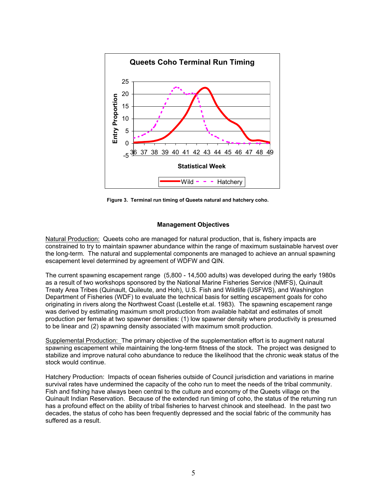

**Figure 3. Terminal run timing of Queets natural and hatchery coho.** 

#### **Management Objectives**

Natural Production: Queets coho are managed for natural production, that is, fishery impacts are constrained to try to maintain spawner abundance within the range of maximum sustainable harvest over the long-term. The natural and supplemental components are managed to achieve an annual spawning escapement level determined by agreement of WDFW and QIN.

The current spawning escapement range (5,800 - 14,500 adults) was developed during the early 1980s as a result of two workshops sponsored by the National Marine Fisheries Service (NMFS), Quinault Treaty Area Tribes (Quinault, Quileute, and Hoh), U.S. Fish and Wildlife (USFWS), and Washington Department of Fisheries (WDF) to evaluate the technical basis for setting escapement goals for coho originating in rivers along the Northwest Coast (Lestelle et.al. 1983). The spawning escapement range was derived by estimating maximum smolt production from available habitat and estimates of smolt production per female at two spawner densities: (1) low spawner density where productivity is presumed to be linear and (2) spawning density associated with maximum smolt production.

Supplemental Production: The primary objective of the supplementation effort is to augment natural spawning escapement while maintaining the long-term fitness of the stock. The project was designed to stabilize and improve natural coho abundance to reduce the likelihood that the chronic weak status of the stock would continue.

Hatchery Production: Impacts of ocean fisheries outside of Council jurisdiction and variations in marine survival rates have undermined the capacity of the coho run to meet the needs of the tribal community. Fish and fishing have always been central to the culture and economy of the Queets village on the Quinault Indian Reservation. Because of the extended run timing of coho, the status of the returning run has a profound effect on the ability of tribal fisheries to harvest chinook and steelhead. In the past two decades, the status of coho has been frequently depressed and the social fabric of the community has suffered as a result.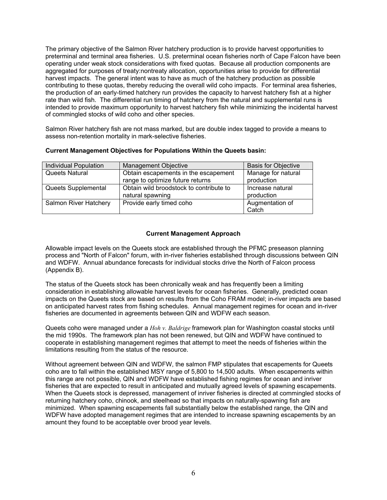The primary objective of the Salmon River hatchery production is to provide harvest opportunities to preterminal and terminal area fisheries. U.S. preterminal ocean fisheries north of Cape Falcon have been operating under weak stock considerations with fixed quotas. Because all production components are aggregated for purposes of treaty:nontreaty allocation, opportunities arise to provide for differential harvest impacts. The general intent was to have as much of the hatchery production as possible contributing to these quotas, thereby reducing the overall wild coho impacts. For terminal area fisheries, the production of an early-timed hatchery run provides the capacity to harvest hatchery fish at a higher rate than wild fish. The differential run timing of hatchery from the natural and supplemental runs is intended to provide maximum opportunity to harvest hatchery fish while minimizing the incidental harvest of commingled stocks of wild coho and other species.

Salmon River hatchery fish are not mass marked, but are double index tagged to provide a means to assess non-retention mortality in mark-selective fisheries.

| <b>Individual Population</b> | <b>Management Objective</b>             | <b>Basis for Objective</b> |
|------------------------------|-----------------------------------------|----------------------------|
| Queets Natural               | Obtain escapements in the escapement    | Manage for natural         |
|                              | range to optimize future returns        | production                 |
| Queets Supplemental          | Obtain wild broodstock to contribute to | Increase natural           |
|                              | natural spawning                        | production                 |
| Salmon River Hatchery        | Provide early timed coho                | Augmentation of            |
|                              |                                         | Catch                      |

### **Current Management Objectives for Populations Within the Queets basin:**

### **Current Management Approach**

Allowable impact levels on the Queets stock are established through the PFMC preseason planning process and "North of Falcon" forum, with in-river fisheries established through discussions between QIN and WDFW. Annual abundance forecasts for individual stocks drive the North of Falcon process (Appendix B).

The status of the Queets stock has been chronically weak and has frequently been a limiting consideration in establishing allowable harvest levels for ocean fisheries. Generally, predicted ocean impacts on the Queets stock are based on results from the Coho FRAM model; in-river impacts are based on anticipated harvest rates from fishing schedules. Annual management regimes for ocean and in-river fisheries are documented in agreements between QIN and WDFW each season.

Queets coho were managed under a *Hoh v. Baldrige* framework plan for Washington coastal stocks until the mid 1990s. The framework plan has not been renewed, but QIN and WDFW have continued to cooperate in establishing management regimes that attempt to meet the needs of fisheries within the limitations resulting from the status of the resource.

Without agreement between QIN and WDFW, the salmon FMP stipulates that escapements for Queets coho are to fall within the established MSY range of 5,800 to 14,500 adults. When escapements within this range are not possible, QIN and WDFW have established fishing regimes for ocean and inriver fisheries that are expected to result in anticipated and mutually agreed levels of spawning escapements. When the Queets stock is depressed, management of inriver fisheries is directed at commingled stocks of returning hatchery coho, chinook, and steelhead so that impacts on naturally-spawning fish are minimized. When spawning escapements fall substantially below the established range, the QIN and WDFW have adopted management regimes that are intended to increase spawning escapements by an amount they found to be acceptable over brood year levels.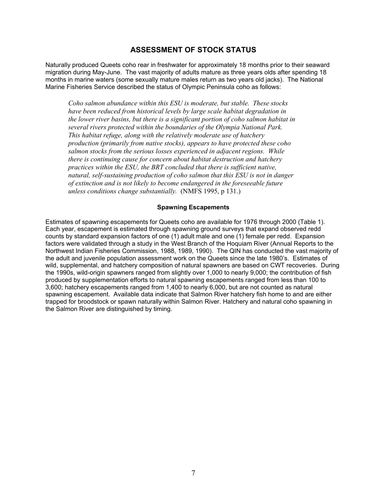## **ASSESSMENT OF STOCK STATUS**

Naturally produced Queets coho rear in freshwater for approximately 18 months prior to their seaward migration during May-June. The vast majority of adults mature as three years olds after spending 18 months in marine waters (some sexually mature males return as two years old jacks). The National Marine Fisheries Service described the status of Olympic Peninsula coho as follows:

*Coho salmon abundance within this ESU is moderate, but stable. These stocks have been reduced from historical levels by large scale habitat degradation in the lower river basins, but there is a significant portion of coho salmon habitat in several rivers protected within the boundaries of the Olympia National Park. This habitat refuge, along with the relatively moderate use of hatchery production (primarily from native stocks), appears to have protected these coho salmon stocks from the serious losses experienced in adjacent regions. While there is continuing cause for concern about habitat destruction and hatchery practices within the ESU, the BRT concluded that there is sufficient native, natural, self-sustaining production of coho salmon that this ESU is not in danger of extinction and is not likely to become endangered in the foreseeable future unless conditions change substantially.* (NMFS 1995, p 131.)

#### **Spawning Escapements**

Estimates of spawning escapements for Queets coho are available for 1976 through 2000 (Table 1). Each year, escapement is estimated through spawning ground surveys that expand observed redd counts by standard expansion factors of one (1) adult male and one (1) female per redd. Expansion factors were validated through a study in the West Branch of the Hoquiam River (Annual Reports to the Northwest Indian Fisheries Commission, 1988, 1989, 1990). The QIN has conducted the vast majority of the adult and juvenile population assessment work on the Queets since the late 1980's. Estimates of wild, supplemental, and hatchery composition of natural spawners are based on CWT recoveries. During the 1990s, wild-origin spawners ranged from slightly over 1,000 to nearly 9,000; the contribution of fish produced by supplementation efforts to natural spawning escapements ranged from less than 100 to 3,600; hatchery escapements ranged from 1,400 to nearly 6,000, but are not counted as natural spawning escapement. Available data indicate that Salmon River hatchery fish home to and are either trapped for broodstock or spawn naturally within Salmon River. Hatchery and natural coho spawning in the Salmon River are distinguished by timing.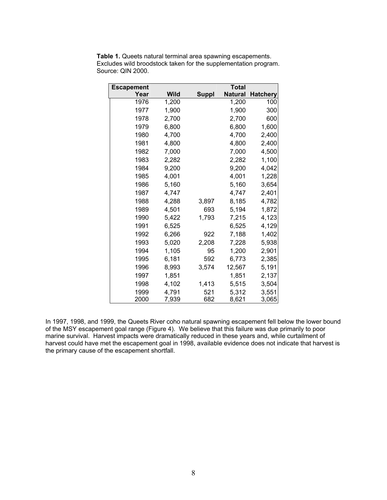| <b>Escapement</b> |             |              | Total          |                 |
|-------------------|-------------|--------------|----------------|-----------------|
| Year              | <b>Wild</b> | <b>Suppl</b> | <b>Natural</b> | <b>Hatchery</b> |
| 1976              | 1,200       |              | 1,200          | 100             |
| 1977              | 1,900       |              | 1,900          | 300             |
| 1978              | 2,700       |              | 2,700          | 600             |
| 1979              | 6,800       |              | 6,800          | 1,600           |
| 1980              | 4,700       |              | 4,700          | 2,400           |
| 1981              | 4,800       |              | 4,800          | 2,400           |
| 1982              | 7,000       |              | 7,000          | 4,500           |
| 1983              | 2,282       |              | 2,282          | 1,100           |
| 1984              | 9,200       |              | 9,200          | 4,042           |
| 1985              | 4,001       |              | 4,001          | 1,228           |
| 1986              | 5,160       |              | 5,160          | 3,654           |
| 1987              | 4,747       |              | 4,747          | 2,401           |
| 1988              | 4,288       | 3,897        | 8,185          | 4,782           |
| 1989              | 4,501       | 693          | 5,194          | 1,872           |
| 1990              | 5,422       | 1,793        | 7,215          | 4,123           |
| 1991              | 6,525       |              | 6,525          | 4,129           |
| 1992              | 6,266       | 922          | 7,188          | 1,402           |
| 1993              | 5,020       | 2,208        | 7,228          | 5,938           |
| 1994              | 1,105       | 95           | 1,200          | 2,901           |
| 1995              | 6,181       | 592          | 6,773          | 2,385           |
| 1996              | 8,993       | 3,574        | 12,567         | 5,191           |
| 1997              | 1,851       |              | 1,851          | 2,137           |
| 1998              | 4,102       | 1,413        | 5,515          | 3,504           |
| 1999              | 4,791       | 521          | 5,312          | 3,551           |
| 2000              | 7,939       | 682          | 8,621          | 3,065           |

**Table 1.** Queets natural terminal area spawning escapements. Excludes wild broodstock taken for the supplementation program. Source: QIN 2000.

In 1997, 1998, and 1999, the Queets River coho natural spawning escapement fell below the lower bound of the MSY escapement goal range (Figure 4). We believe that this failure was due primarily to poor marine survival. Harvest impacts were dramatically reduced in these years and, while curtailment of harvest could have met the escapement goal in 1998, available evidence does not indicate that harvest is the primary cause of the escapement shortfall.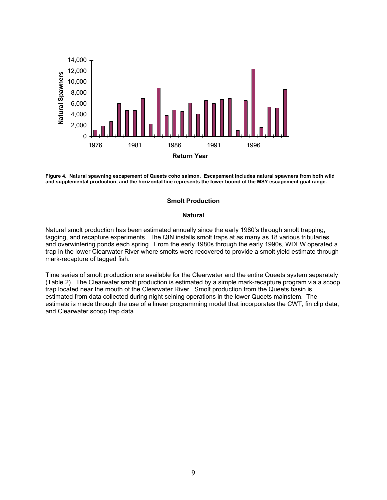

**Figure 4. Natural spawning escapement of Queets coho salmon. Escapement includes natural spawners from both wild and supplemental production, and the horizontal line represents the lower bound of the MSY escapement goal range.** 

#### **Smolt Production**

#### **Natural**

Natural smolt production has been estimated annually since the early 1980's through smolt trapping, tagging, and recapture experiments. The QIN installs smolt traps at as many as 18 various tributaries and overwintering ponds each spring. From the early 1980s through the early 1990s, WDFW operated a trap in the lower Clearwater River where smolts were recovered to provide a smolt yield estimate through mark-recapture of tagged fish.

Time series of smolt production are available for the Clearwater and the entire Queets system separately (Table 2). The Clearwater smolt production is estimated by a simple mark-recapture program via a scoop trap located near the mouth of the Clearwater River. Smolt production from the Queets basin is estimated from data collected during night seining operations in the lower Queets mainstem. The estimate is made through the use of a linear programming model that incorporates the CWT, fin clip data, and Clearwater scoop trap data.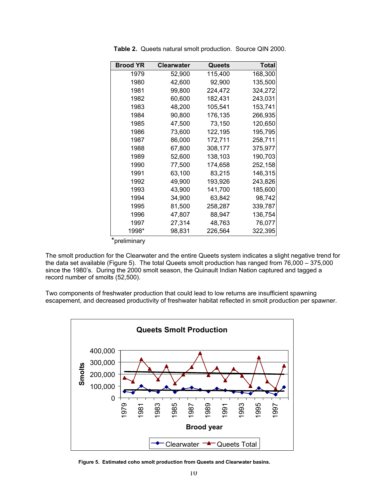| <b>Brood YR</b> | <b>Clearwater</b> | Queets  | Total   |
|-----------------|-------------------|---------|---------|
| 1979            | 52,900            | 115,400 | 168,300 |
| 1980            | 42,600            | 92,900  | 135,500 |
| 1981            | 99,800            | 224,472 | 324,272 |
| 1982            | 60,600            | 182,431 | 243,031 |
| 1983            | 48,200            | 105,541 | 153,741 |
| 1984            | 90,800            | 176,135 | 266,935 |
| 1985            | 47,500            | 73,150  | 120,650 |
| 1986            | 73,600            | 122,195 | 195,795 |
| 1987            | 86,000            | 172,711 | 258,711 |
| 1988            | 67,800            | 308,177 | 375,977 |
| 1989            | 52,600            | 138,103 | 190,703 |
| 1990            | 77,500            | 174,658 | 252,158 |
| 1991            | 63,100            | 83,215  | 146,315 |
| 1992            | 49,900            | 193,926 | 243,826 |
| 1993            | 43,900            | 141,700 | 185,600 |
| 1994            | 34,900            | 63,842  | 98,742  |
| 1995            | 81,500            | 258,287 | 339,787 |
| 1996            | 47,807            | 88,947  | 136,754 |
| 1997            | 27,314            | 48,763  | 76,077  |
| 1998*           | 98,831            | 226,564 | 322,395 |

**Table 2.** Queets natural smolt production. Source QIN 2000.

\*preliminary

The smolt production for the Clearwater and the entire Queets system indicates a slight negative trend for the data set available (Figure 5). The total Queets smolt production has ranged from 76,000 – 375,000 since the 1980's. During the 2000 smolt season, the Quinault Indian Nation captured and tagged a record number of smolts (52,500).

Two components of freshwater production that could lead to low returns are insufficient spawning escapement, and decreased productivity of freshwater habitat reflected in smolt production per spawner.



**Figure 5. Estimated coho smolt production from Queets and Clearwater basins.**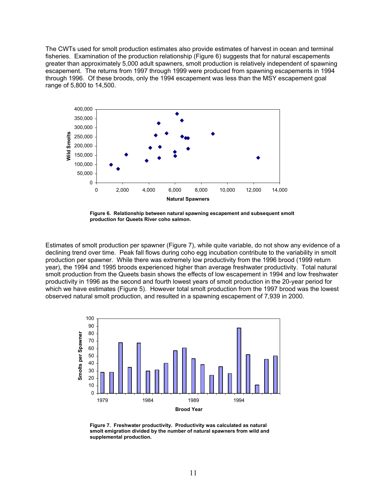The CWTs used for smolt production estimates also provide estimates of harvest in ocean and terminal fisheries. Examination of the production relationship (Figure 6) suggests that for natural escapements greater than approximately 5,000 adult spawners, smolt production is relatively independent of spawning escapement. The returns from 1997 through 1999 were produced from spawning escapements in 1994 through 1996. Of these broods, only the 1994 escapement was less than the MSY escapement goal range of 5,800 to 14,500.



**Figure 6. Relationship between natural spawning escapement and subsequent smolt production for Queets River coho salmon.** 

Estimates of smolt production per spawner (Figure 7), while quite variable, do not show any evidence of a declining trend over time. Peak fall flows during coho egg incubation contribute to the variability in smolt production per spawner. While there was extremely low productivity from the 1996 brood (1999 return year), the 1994 and 1995 broods experienced higher than average freshwater productivity. Total natural smolt production from the Queets basin shows the effects of low escapement in 1994 and low freshwater productivity in 1996 as the second and fourth lowest years of smolt production in the 20-year period for which we have estimates (Figure 5). However total smolt production from the 1997 brood was the lowest observed natural smolt production, and resulted in a spawning escapement of 7,939 in 2000.



**Figure 7. Freshwater productivity. Productivity was calculated as natural smolt emigration divided by the number of natural spawners from wild and supplemental production.**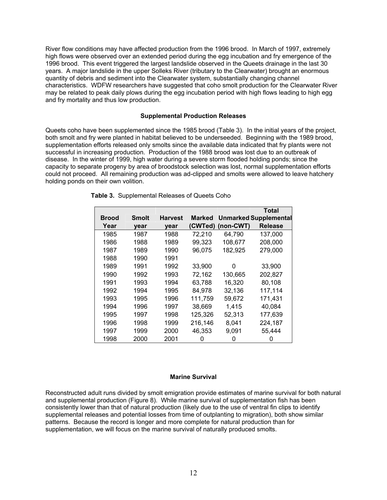River flow conditions may have affected production from the 1996 brood. In March of 1997, extremely high flows were observed over an extended period during the egg incubation and fry emergence of the 1996 brood. This event triggered the largest landslide observed in the Queets drainage in the last 30 years. A major landslide in the upper Solleks River (tributary to the Clearwater) brought an enormous quantity of debris and sediment into the Clearwater system, substantially changing channel characteristics. WDFW researchers have suggested that coho smolt production for the Clearwater River may be related to peak daily plows during the egg incubation period with high flows leading to high egg and fry mortality and thus low production.

#### **Supplemental Production Releases**

Queets coho have been supplemented since the 1985 brood (Table 3). In the initial years of the project, both smolt and fry were planted in habitat believed to be underseeded. Beginning with the 1989 brood, supplementation efforts released only smolts since the available data indicated that fry plants were not successful in increasing production. Production of the 1988 brood was lost due to an outbreak of disease. In the winter of 1999, high water during a severe storm flooded holding ponds; since the capacity to separate progeny by area of broodstock selection was lost, normal supplementation efforts could not proceed. All remaining production was ad-clipped and smolts were allowed to leave hatchery holding ponds on their own volition.

|              |              |                |               |           | <b>Total</b>                 |
|--------------|--------------|----------------|---------------|-----------|------------------------------|
| <b>Brood</b> | <b>Smolt</b> | <b>Harvest</b> | <b>Marked</b> |           | <b>Unmarked Supplemental</b> |
| Year         | year         | vear           | (CWTed)       | (non-CWT) | <b>Release</b>               |
| 1985         | 1987         | 1988           | 72,210        | 64,790    | 137,000                      |
| 1986         | 1988         | 1989           | 99,323        | 108,677   | 208,000                      |
| 1987         | 1989         | 1990           | 96,075        | 182,925   | 279,000                      |
| 1988         | 1990         | 1991           |               |           |                              |
| 1989         | 1991         | 1992           | 33,900        | 0         | 33,900                       |
| 1990         | 1992         | 1993           | 72,162        | 130,665   | 202,827                      |
| 1991         | 1993         | 1994           | 63,788        | 16,320    | 80,108                       |
| 1992         | 1994         | 1995           | 84,978        | 32,136    | 117,114                      |
| 1993         | 1995         | 1996           | 111,759       | 59,672    | 171,431                      |
| 1994         | 1996         | 1997           | 38,669        | 1,415     | 40,084                       |
| 1995         | 1997         | 1998           | 125,326       | 52,313    | 177,639                      |
| 1996         | 1998         | 1999           | 216,146       | 8.041     | 224,187                      |
| 1997         | 1999         | 2000           | 46,353        | 9,091     | 55,444                       |
| 1998         | 2000         | 2001           | O             | 0         |                              |

|  | Table 3. Supplemental Releases of Queets Coho |  |  |
|--|-----------------------------------------------|--|--|
|--|-----------------------------------------------|--|--|

#### **Marine Survival**

Reconstructed adult runs divided by smolt emigration provide estimates of marine survival for both natural and supplemental production (Figure 8). While marine survival of supplementation fish has been consistently lower than that of natural production (likely due to the use of ventral fin clips to identify supplemental releases and potential losses from time of outplanting to migration), both show similar patterns. Because the record is longer and more complete for natural production than for supplementation, we will focus on the marine survival of naturally produced smolts.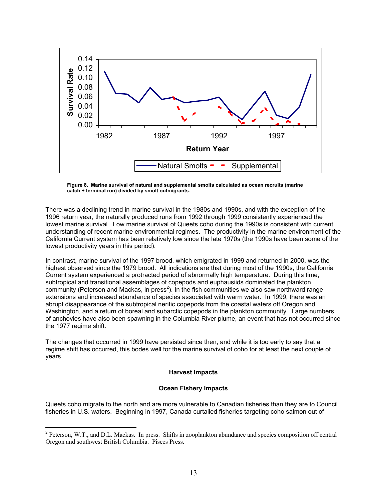

**Figure 8. Marine survival of natural and supplemental smolts calculated as ocean recruits (marine catch + terminal run) divided by smolt outmigrants.** 

There was a declining trend in marine survival in the 1980s and 1990s, and with the exception of the 1996 return year, the naturally produced runs from 1992 through 1999 consistently experienced the lowest marine survival. Low marine survival of Queets coho during the 1990s is consistent with current understanding of recent marine environmental regimes. The productivity in the marine environment of the California Current system has been relatively low since the late 1970s (the 1990s have been some of the lowest productivity years in this period).

In contrast, marine survival of the 1997 brood, which emigrated in 1999 and returned in 2000, was the highest observed since the 1979 brood. All indications are that during most of the 1990s, the California Current system experienced a protracted period of abnormally high temperature. During this time, subtropical and transitional assemblages of copepods and euphausiids dominated the plankton community (Peterson and Mackas, in press<sup>2</sup>). In the fish communities we also saw northward range extensions and increased abundance of species associated with warm water. In 1999, there was an abrupt disappearance of the subtropical neritic copepods from the coastal waters off Oregon and Washington, and a return of boreal and subarctic copepods in the plankton community. Large numbers of anchovies have also been spawning in the Columbia River plume, an event that has not occurred since the 1977 regime shift.

The changes that occurred in 1999 have persisted since then, and while it is too early to say that a regime shift has occurred, this bodes well for the marine survival of coho for at least the next couple of years.

#### **Harvest Impacts**

#### **Ocean Fishery Impacts**

Queets coho migrate to the north and are more vulnerable to Canadian fisheries than they are to Council fisheries in U.S. waters. Beginning in 1997, Canada curtailed fisheries targeting coho salmon out of

<sup>&</sup>lt;sup>2</sup> Peterson, W.T., and D.L. Mackas. In press. Shifts in zooplankton abundance and species composition off central Oregon and southwest British Columbia. Pisces Press.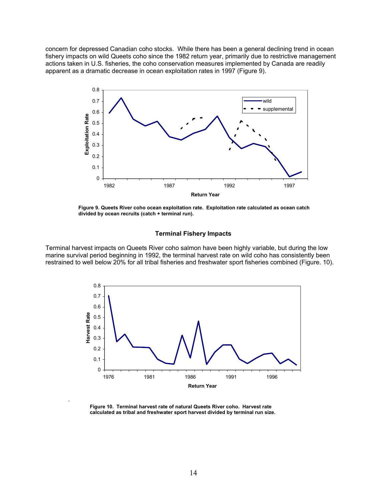concern for depressed Canadian coho stocks. While there has been a general declining trend in ocean fishery impacts on wild Queets coho since the 1982 return year, primarily due to restrictive management actions taken in U.S. fisheries, the coho conservation measures implemented by Canada are readily apparent as a dramatic decrease in ocean exploitation rates in 1997 (Figure 9).



**Figure 9. Queets River coho ocean exploitation rate. Exploitation rate calculated as ocean catch divided by ocean recruits (catch + terminal run).** 

#### **Terminal Fishery Impacts**

Terminal harvest impacts on Queets River coho salmon have been highly variable, but during the low marine survival period beginning in 1992, the terminal harvest rate on wild coho has consistently been restrained to well below 20% for all tribal fisheries and freshwater sport fisheries combined (Figure. 10).



**Figure 10. Terminal harvest rate of natural Queets River coho. Harvest rate calculated as tribal and freshwater sport harvest divided by terminal run size.** 

.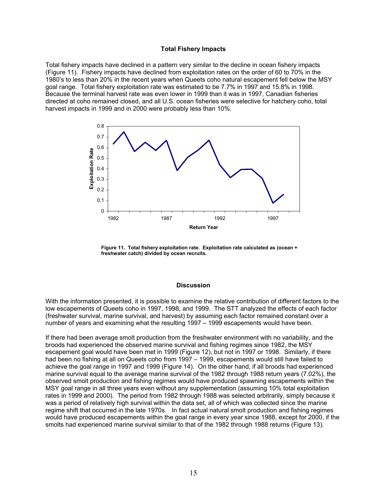#### **Total Fishery Impacts**

Total fishery impacts have declined in a pattern very similar to the decline in ocean fishery impacts (Figure 11). Fishery impacts have declined from exploitation rates on the order of 60 to 70% in the 1980's to less than 20% in the recent years when Queets coho natural escapement fell below the MSY goal range. Total fishery exploitation rate was estimated to be 7.7% in 1997 and 15.8% in 1998. Because the terminal harvest rate was even lower in 1999 than it was in 1997, Canadian fisheries directed at coho remained closed, and all U.S. ocean fisheries were selective for hatchery coho, total harvest impacts in 1999 and in 2000 were probably less than 10%.



**Figure 11. Total fishery exploitation rate. Exploitation rate calculated as (ocean + freshwater catch) divided by ocean recruits.** 

#### **Discussion**

With the information presented, it is possible to examine the relative contribution of different factors to the low escapements of Queets coho in 1997, 1998, and 1999. The STT analyzed the effects of each factor (freshwater survival, marine survival, and harvest) by assuming each factor remained constant over a number of years and examining what the resulting 1997 – 1999 escapements would have been.

If there had been average smolt production from the freshwater environment with no variability, and the broods had experienced the observed marine survival and fishing regimes since 1982, the MSY escapement goal would have been met in 1999 (Figure 12), but not in 1997 or 1998. Similarly, if there had been no fishing at all on Queets coho from 1997 – 1999, escapements would still have failed to achieve the goal range in 1997 and 1999 (Figure 14). On the other hand, if all broods had experienced marine survival equal to the average marine survival of the 1982 through 1988 return years (7.02%), the observed smolt production and fishing regimes would have produced spawning escapements within the MSY goal range in all three years even without any supplementation (assuming 10% total exploitation rates in 1999 and 2000). The period from 1982 through 1988 was selected arbitrarily, simply because it was a period of relatively high survival within the data set, all of which was collected since the marine regime shift that occurred in the late 1970s. In fact actual natural smolt production and fishing regimes would have produced escapements within the goal range in every year since 1988, except for 2000, if the smolts had experienced marine survival similar to that of the 1982 through 1988 returns (Figure 13).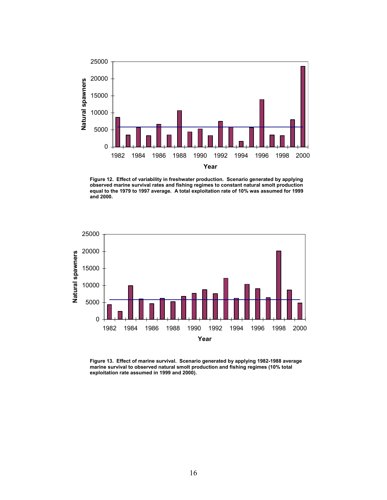

**Figure 12. Effect of variability in freshwater production. Scenario generated by applying observed marine survival rates and fishing regimes to constant natural smolt production equal to the 1979 to 1997 average. A total exploitation rate of 10% was assumed for 1999 and 2000.** 



**Figure 13. Effect of marine survival. Scenario generated by applying 1982-1988 average marine survival to observed natural smolt production and fishing regimes (10% total exploitation rate assumed in 1999 and 2000).**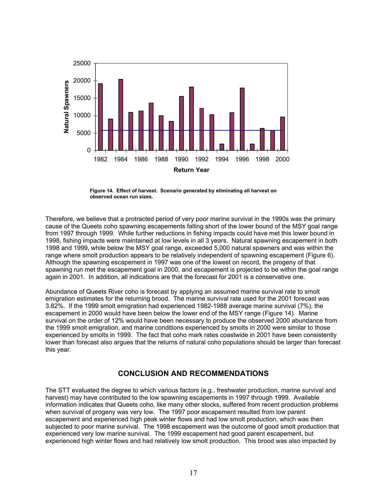

**Figure 14. Effect of harvest. Scenario generated by eliminating all harvest on observed ocean run sizes.** 

Therefore, we believe that a protracted period of very poor marine survival in the 1990s was the primary cause of the Queets coho spawning escapements falling short of the lower bound of the MSY goal range from 1997 through 1999. While further reductions in fishing impacts could have met this lower bound in 1998, fishing impacts were maintained at low levels in all 3 years. Natural spawning escapement in both 1998 and 1999, while below the MSY goal range, exceeded 5,000 natural spawners and was within the range where smolt production appears to be relatively independent of spawning escapement (Figure 6). Although the spawning escapement in 1997 was one of the lowest on record, the progeny of that spawning run met the escapement goal in 2000, and escapement is projected to be within the goal range again in 2001. In addition, all indications are that the forecast for 2001 is a conservative one.

Abundance of Queets River coho is forecast by applying an assumed marine survival rate to smolt emigration estimates for the returning brood. The marine survival rate used for the 2001 forecast was 3.82%. If the 1999 smolt emigration had experienced 1982-1988 average marine survival (7%), the escapement in 2000 would have been below the lower end of the MSY range (Figure 14). Marine survival on the order of 12% would have been necessary to produce the observed 2000 abundance from the 1999 smolt emigration, and marine conditions experienced by smolts in 2000 were similar to those experienced by smolts in 1999. The fact that coho mark rates coastwide in 2001 have been consistently lower than forecast also argues that the returns of natural coho populations should be larger than forecast this year.

## **CONCLUSION AND RECOMMENDATIONS**

The STT evaluated the degree to which various factors (e.g., freshwater production, marine survival and harvest) may have contributed to the low spawning escapements in 1997 through 1999. Available information indicates that Queets coho, like many other stocks, suffered from recent production problems when survival of progeny was very low. The 1997 poor escapement resulted from low parent escapement and experienced high peak winter flows and had low smolt production, which was then subjected to poor marine survival. The 1998 escapement was the outcome of good smolt production that experienced very low marine survival. The 1999 escapement had good parent escapement, but experienced high winter flows and had relatively low smolt production. This brood was also impacted by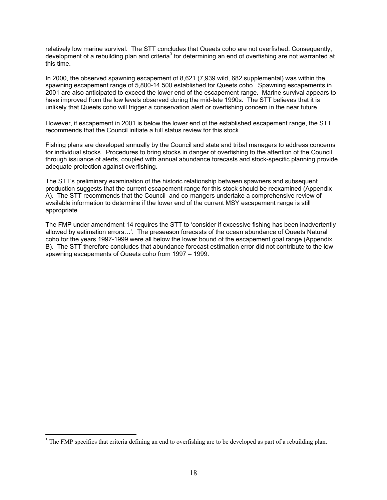relatively low marine survival. The STT concludes that Queets coho are not overfished. Consequently, development of a rebuilding plan and criteria<sup>3</sup> for determining an end of overfishing are not warranted at this time.

In 2000, the observed spawning escapement of 8,621 (7,939 wild, 682 supplemental) was within the spawning escapement range of 5,800-14,500 established for Queets coho. Spawning escapements in 2001 are also anticipated to exceed the lower end of the escapement range. Marine survival appears to have improved from the low levels observed during the mid-late 1990s. The STT believes that it is unlikely that Queets coho will trigger a conservation alert or overfishing concern in the near future.

However, if escapement in 2001 is below the lower end of the established escapement range, the STT recommends that the Council initiate a full status review for this stock.

Fishing plans are developed annually by the Council and state and tribal managers to address concerns for individual stocks. Procedures to bring stocks in danger of overfishing to the attention of the Council through issuance of alerts, coupled with annual abundance forecasts and stock-specific planning provide adequate protection against overfishing.

The STT's preliminary examination of the historic relationship between spawners and subsequent production suggests that the current escapement range for this stock should be reexamined (Appendix A). The STT recommends that the Council and co-mangers undertake a comprehensive review of available information to determine if the lower end of the current MSY escapement range is still appropriate.

The FMP under amendment 14 requires the STT to 'consider if excessive fishing has been inadvertently allowed by estimation errors…'. The preseason forecasts of the ocean abundance of Queets Natural coho for the years 1997-1999 were all below the lower bound of the escapement goal range (Appendix B). The STT therefore concludes that abundance forecast estimation error did not contribute to the low spawning escapements of Queets coho from 1997 – 1999.

 $\overline{a}$ 

 $3$  The FMP specifies that criteria defining an end to overfishing are to be developed as part of a rebuilding plan.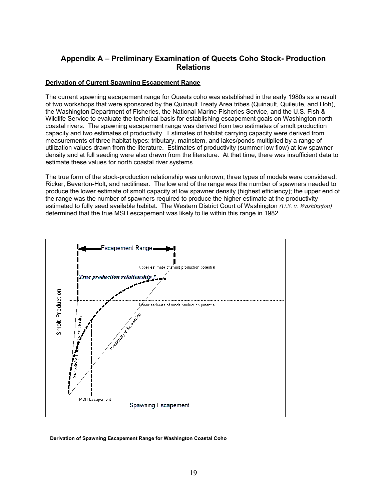## **Appendix A – Preliminary Examination of Queets Coho Stock- Production Relations**

### **Derivation of Current Spawning Escapement Range**

The current spawning escapement range for Queets coho was established in the early 1980s as a result of two workshops that were sponsored by the Quinault Treaty Area tribes (Quinault, Quileute, and Hoh), the Washington Department of Fisheries, the National Marine Fisheries Service, and the U.S. Fish & Wildlife Service to evaluate the technical basis for establishing escapement goals on Washington north coastal rivers. The spawning escapement range was derived from two estimates of smolt production capacity and two estimates of productivity. Estimates of habitat carrying capacity were derived from measurements of three habitat types: tributary, mainstem, and lakes/ponds multiplied by a range of utilization values drawn from the literature. Estimates of productivity (summer low flow) at low spawner density and at full seeding were also drawn from the literature. At that time, there was insufficient data to estimate these values for north coastal river systems.

The true form of the stock-production relationship was unknown; three types of models were considered: Ricker, Beverton-Holt, and rectilinear. The low end of the range was the number of spawners needed to produce the lower estimate of smolt capacity at low spawner density (highest efficiency); the upper end of the range was the number of spawners required to produce the higher estimate at the productivity estimated to fully seed available habitat. The Western District Court of Washington *(U.S. v. Washington)* determined that the true MSH escapement was likely to lie within this range in 1982.



**Derivation of Spawning Escapement Range for Washington Coastal Coho**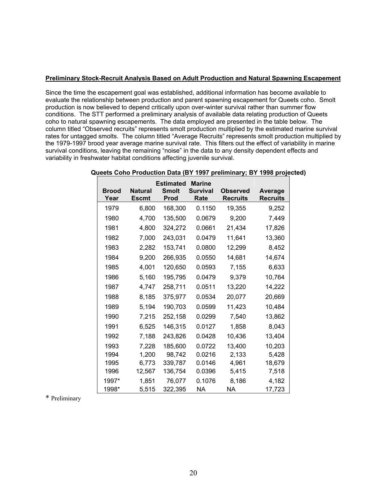### **Preliminary Stock-Recruit Analysis Based on Adult Production and Natural Spawning Escapement**

Since the time the escapement goal was established, additional information has become available to evaluate the relationship between production and parent spawning escapement for Queets coho. Smolt production is now believed to depend critically upon over-winter survival rather than summer flow conditions. The STT performed a preliminary analysis of available data relating production of Queets coho to natural spawning escapements. The data employed are presented in the table below. The column titled "Observed recruits" represents smolt production multiplied by the estimated marine survival rates for untagged smolts. The column titled "Average Recruits" represents smolt production multiplied by the 1979-1997 brood year average marine survival rate. This filters out the effect of variability in marine survival conditions, leaving the remaining "noise" in the data to any density dependent effects and variability in freshwater habitat conditions affecting juvenile survival.

| <b>Brood</b><br>Year | <b>Natural</b><br><b>Escmt</b> | <b>Estimated</b><br>Smolt<br>Prod | <b>Marine</b><br><b>Survival</b><br>Rate | Observed<br><b>Recruits</b> | Average<br>Recruits |
|----------------------|--------------------------------|-----------------------------------|------------------------------------------|-----------------------------|---------------------|
| 1979                 | 6,800                          | 168,300                           | 0.1150                                   | 19,355                      | 9,252               |
| 1980                 | 4,700                          | 135,500                           | 0.0679                                   | 9,200                       | 7,449               |
| 1981                 | 4,800                          | 324,272                           | 0.0661                                   | 21,434                      | 17,826              |
| 1982                 | 7,000                          | 243,031                           | 0.0479                                   | 11,641                      | 13,360              |
| 1983                 | 2,282                          | 153,741                           | 0.0800                                   | 12,299                      | 8,452               |
| 1984                 | 9,200                          | 266,935                           | 0.0550                                   | 14,681                      | 14,674              |
| 1985                 | 4,001                          | 120,650                           | 0.0593                                   | 7,155                       | 6,633               |
| 1986                 | 5,160                          | 195,795                           | 0.0479                                   | 9,379                       | 10,764              |
| 1987                 | 4,747                          | 258,711                           | 0.0511                                   | 13,220                      | 14,222              |
| 1988                 | 8.185                          | 375,977                           | 0.0534                                   | 20,077                      | 20,669              |
| 1989                 | 5,194                          | 190,703                           | 0.0599                                   | 11,423                      | 10,484              |
| 1990                 | 7,215                          | 252,158                           | 0.0299                                   | 7,540                       | 13,862              |
| 1991                 | 6,525                          | 146,315                           | 0.0127                                   | 1,858                       | 8,043               |
| 1992                 | 7,188                          | 243,826                           | 0.0428                                   | 10,436                      | 13,404              |
| 1993                 | 7,228                          | 185.600                           | 0.0722                                   | 13.400                      | 10,203              |
| 1994                 | 1.200                          | 98,742                            | 0.0216                                   | 2,133                       | 5,428               |
| 1995                 | 6,773                          | 339,787                           | 0.0146                                   | 4,961                       | 18,679              |
| 1996                 | 12,567                         | 136,754                           | 0.0396                                   | 5.415                       | 7,518               |
| 1997*                | 1,851                          | 76,077                            | 0.1076                                   | 8,186                       | 4,182               |
| 1998*                | 5,515                          | 322,395                           | ΝA                                       | NA.                         | 17,723              |

### **Queets Coho Production Data (BY 1997 preliminary; BY 1998 projected)**

\* Preliminary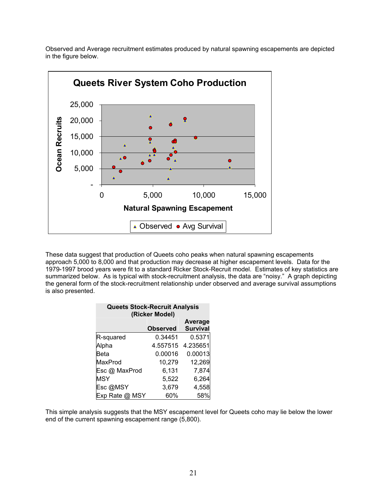Observed and Average recruitment estimates produced by natural spawning escapements are depicted in the figure below.



These data suggest that production of Queets coho peaks when natural spawning escapements approach 5,000 to 8,000 and that production may decrease at higher escapement levels. Data for the 1979-1997 brood years were fit to a standard Ricker Stock-Recruit model. Estimates of key statistics are summarized below. As is typical with stock-recruitment analysis, the data are "noisy." A graph depicting the general form of the stock-recruitment relationship under observed and average survival assumptions is also presented.

| <b>Queets Stock-Recruit Analysis</b><br>(Ricker Model) |                 |                            |  |  |
|--------------------------------------------------------|-----------------|----------------------------|--|--|
|                                                        | <b>Observed</b> | Average<br><b>Survival</b> |  |  |
| R-squared                                              | 0.34451         | 0.5371                     |  |  |
| Alpha                                                  | 4.557515        | 4.235651                   |  |  |
| Beta                                                   | 0.00016         | 0.00013                    |  |  |
| MaxProd                                                | 10,279          | 12,269                     |  |  |
| Esc @ MaxProd                                          | 6,131           | 7,874                      |  |  |
| <b>MSY</b>                                             | 5,522           | 6,264                      |  |  |
| Esc@MSY                                                | 3,679           | 4,558                      |  |  |
| Exp Rate @ MSY                                         | 60%             | 58%                        |  |  |

This simple analysis suggests that the MSY escapement level for Queets coho may lie below the lower end of the current spawning escapement range (5,800).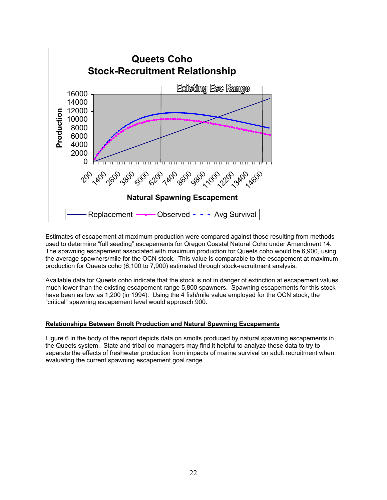

Estimates of escapement at maximum production were compared against those resulting from methods used to determine "full seeding" escapements for Oregon Coastal Natural Coho under Amendment 14. The spawning escapement associated with maximum production for Queets coho would be 6,900, using the average spawners/mile for the OCN stock. This value is comparable to the escapement at maximum production for Queets coho (6,100 to 7,900) estimated through stock-recruitment analysis.

Available data for Queets coho indicate that the stock is not in danger of extinction at escapement values much lower than the existing escapement range 5,800 spawners. Spawning escapements for this stock have been as low as 1,200 (in 1994). Using the 4 fish/mile value employed for the OCN stock, the "critical" spawning escapement level would approach 900.

#### **Relationships Between Smolt Production and Natural Spawning Escapements**

Figure 6 in the body of the report depicts data on smolts produced by natural spawning escapements in the Queets system. State and tribal co-managers may find it helpful to analyze these data to try to separate the effects of freshwater production from impacts of marine survival on adult recruitment when evaluating the current spawning escapement goal range.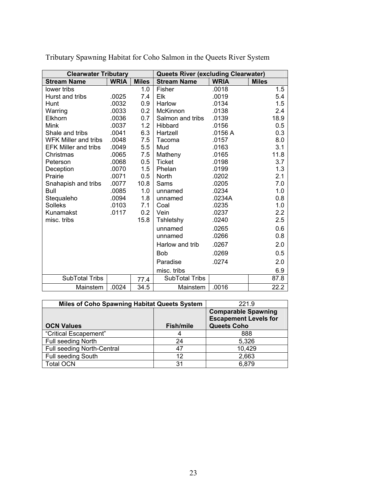| <b>Clearwater Tributary</b> |             |              | <b>Queets River (excluding Clearwater)</b> |             |              |
|-----------------------------|-------------|--------------|--------------------------------------------|-------------|--------------|
| <b>Stream Name</b>          | <b>WRIA</b> | <b>Miles</b> | <b>Stream Name</b>                         | <b>WRIA</b> | <b>Miles</b> |
| lower tribs                 |             | 1.0          | Fisher                                     | .0018       | 1.5          |
| Hurst and tribs             | .0025       | 7.4          | Elk                                        | .0019       | 5.4          |
| Hunt                        | .0032       | 0.9          | Harlow                                     | .0134       | 1.5          |
| Warring                     | .0033       | 0.2          | McKinnon                                   | .0138       | 2.4          |
| Elkhorn                     | .0036       | 0.7          | Salmon and tribs                           | .0139       | 18.9         |
| <b>Mink</b>                 | .0037       | 1.2          | Hibbard                                    | .0156       | 0.5          |
| Shale and tribs             | .0041       | 6.3          | Hartzell                                   | .0156 A     | 0.3          |
| <b>WFK Miller and tribs</b> | .0048       | 7.5          | Tacoma                                     | .0157       | 8.0          |
| <b>EFK Miller and tribs</b> | .0049       | 5.5          | Mud                                        | .0163       | 3.1          |
| Christmas                   | .0065       | 7.5          | Matheny                                    | .0165       | 11.8         |
| Peterson                    | .0068       | 0.5          | <b>Ticket</b>                              | .0198       | 3.7          |
| Deception                   | .0070       | 1.5          | Phelan                                     | .0199       | 1.3          |
| Prairie                     | .0071       | 0.5          | North                                      | .0202       | 2.1          |
| Snahapish and tribs         | .0077       | 10.8         | Sams                                       | .0205       | 7.0          |
| <b>Bull</b>                 | .0085       | 1.0          | unnamed                                    | .0234       | 1.0          |
| Stequaleho                  | .0094       | 1.8          | unnamed                                    | .0234A      | 0.8          |
| <b>Solleks</b>              | .0103       | 7.1          | Coal                                       | .0235       | 1.0          |
| Kunamakst                   | .0117       | 0.2          | Vein                                       | .0237       | 2.2          |
| misc. tribs                 |             | 15.8         | Tshletshy                                  | .0240       | 2.5          |
|                             |             |              | unnamed                                    | .0265       | 0.6          |
|                             |             |              | unnamed                                    | .0266       | 0.8          |
|                             |             |              | Harlow and trib                            | .0267       | 2.0          |
|                             |             |              | <b>Bob</b>                                 | .0269       | 0.5          |
|                             |             |              | Paradise                                   | .0274       | 2.0          |
|                             |             |              | misc. tribs                                |             | 6.9          |
| SubTotal Tribs              |             | 77.4         | SubTotal Tribs                             |             | 87.8         |
| Mainstem                    | .0024       | 34.5         | Mainstem                                   | .0016       | 22.2         |

Tributary Spawning Habitat for Coho Salmon in the Queets River System

| <b>Miles of Coho Spawning Habitat Queets System</b> | 221.9            |                                                            |
|-----------------------------------------------------|------------------|------------------------------------------------------------|
|                                                     |                  | <b>Comparable Spawning</b><br><b>Escapement Levels for</b> |
| <b>OCN Values</b>                                   | <b>Fish/mile</b> | <b>Queets Coho</b>                                         |
| "Critical Escapement"                               |                  | 888                                                        |
| Full seeding North                                  | 24               | 5,326                                                      |
| Full seeding North-Central                          | 47               | 10,429                                                     |
| Full seeding South                                  | 12               | 2,663                                                      |
| <b>Total OCN</b>                                    | 31               | 6,879                                                      |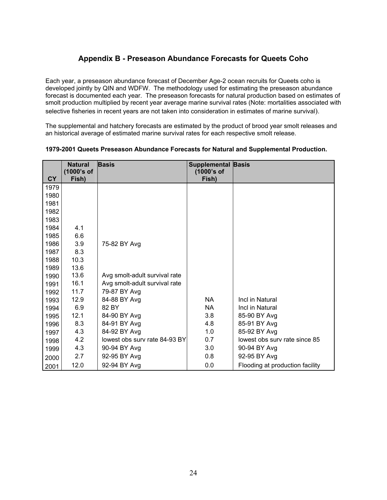## **Appendix B - Preseason Abundance Forecasts for Queets Coho**

Each year, a preseason abundance forecast of December Age-2 ocean recruits for Queets coho is developed jointly by QIN and WDFW. The methodology used for estimating the preseason abundance forecast is documented each year. The preseason forecasts for natural production based on estimates of smolt production multiplied by recent year average marine survival rates (Note: mortalities associated with selective fisheries in recent years are not taken into consideration in estimates of marine survival).

The supplemental and hatchery forecasts are estimated by the product of brood year smolt releases and an historical average of estimated marine survival rates for each respective smolt release.

|           | <b>Natural</b><br>(1000's of | <b>Basis</b>                  | <b>Supplemental Basis</b><br>(1000's of |                                 |
|-----------|------------------------------|-------------------------------|-----------------------------------------|---------------------------------|
| <b>CY</b> | Fish)                        |                               | Fish)                                   |                                 |
| 1979      |                              |                               |                                         |                                 |
| 1980      |                              |                               |                                         |                                 |
| 1981      |                              |                               |                                         |                                 |
| 1982      |                              |                               |                                         |                                 |
| 1983      |                              |                               |                                         |                                 |
| 1984      | 4.1                          |                               |                                         |                                 |
| 1985      | 6.6                          |                               |                                         |                                 |
| 1986      | 3.9                          | 75-82 BY Avg                  |                                         |                                 |
| 1987      | 8.3                          |                               |                                         |                                 |
| 1988      | 10.3                         |                               |                                         |                                 |
| 1989      | 13.6                         |                               |                                         |                                 |
| 1990      | 13.6                         | Avg smolt-adult survival rate |                                         |                                 |
| 1991      | 16.1                         | Avg smolt-adult survival rate |                                         |                                 |
| 1992      | 11.7                         | 79-87 BY Avg                  |                                         |                                 |
| 1993      | 12.9                         | 84-88 BY Avg                  | <b>NA</b>                               | Incl in Natural                 |
| 1994      | 6.9                          | 82 BY                         | NA.                                     | Incl in Natural                 |
| 1995      | 12.1                         | 84-90 BY Avg                  | 3.8                                     | 85-90 BY Avg                    |
| 1996      | 8.3                          | 84-91 BY Avg                  | 4.8                                     | 85-91 BY Avg                    |
| 1997      | 4.3                          | 84-92 BY Avg                  | 1.0                                     | 85-92 BY Avg                    |
| 1998      | 4.2                          | lowest obs sury rate 84-93 BY | 0.7                                     | lowest obs sury rate since 85   |
| 1999      | 4.3                          | 90-94 BY Avg                  | 3.0                                     | 90-94 BY Avg                    |
| 2000      | 2.7                          | 92-95 BY Avg                  | 0.8                                     | 92-95 BY Avg                    |
| 2001      | 12.0                         | 92-94 BY Avg                  | 0.0                                     | Flooding at production facility |

#### **1979-2001 Queets Preseason Abundance Forecasts for Natural and Supplemental Production.**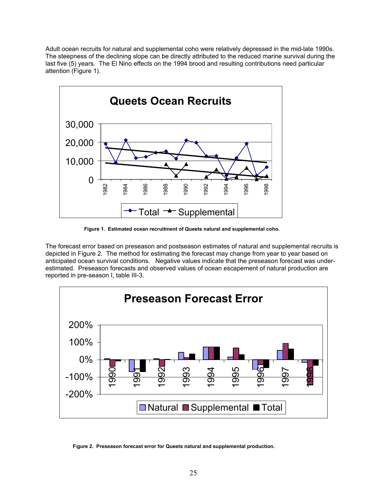Adult ocean recruits for natural and supplemental coho were relatively depressed in the mid-late 1990s. The steepness of the declining slope can be directly attributed to the reduced marine survival during the last five (5) years. The El Nino effects on the 1994 brood and resulting contributions need particular attention (Figure 1).



**Figure 1. Estimated ocean recruitment of Queets natural and supplemental coho.** 

The forecast error based on preseason and postseason estimates of natural and supplemental recruits is depicted in Figure 2. The method for estimating the forecast may change from year to year based on anticipated ocean survival conditions. Negative values indicate that the preseason forecast was underestimated. Preseason forecasts and observed values of ocean escapement of natural production are reported in pre-season I, table III-3.



**F**i**gure 2. Preseason forecast error for Queets natural and supplemental production.**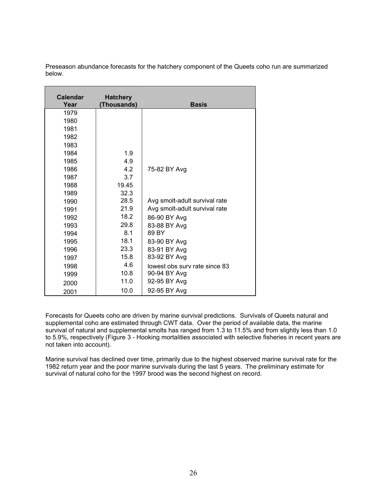| <b>Calendar</b> | <b>Hatchery</b> |                               |
|-----------------|-----------------|-------------------------------|
| Year            | (Thousands)     | <b>Basis</b>                  |
| 1979            |                 |                               |
| 1980            |                 |                               |
| 1981            |                 |                               |
| 1982            |                 |                               |
| 1983            |                 |                               |
| 1984            | 1.9             |                               |
| 1985            | 4.9             |                               |
| 1986            | 4.2             | 75-82 BY Avg                  |
| 1987            | 3.7             |                               |
| 1988            | 19.45           |                               |
| 1989            | 32.3            |                               |
| 1990            | 28.5            | Avg smolt-adult survival rate |
| 1991            | 21.9            | Avg smolt-adult survival rate |
| 1992            | 18.2            | 86-90 BY Avg                  |
| 1993            | 29.8            | 83-88 BY Avg                  |
| 1994            | 8.1             | 89 BY                         |
| 1995            | 18.1            | 83-90 BY Avg                  |
| 1996            | 23.3            | 83-91 BY Avg                  |
| 1997            | 15.8            | 83-92 BY Avg                  |
| 1998            | 4.6             | lowest obs surv rate since 83 |
| 1999            | 10.8            | 90-94 BY Avg                  |
| 2000            | 11.0            | 92-95 BY Avg                  |
| 2001            | 10.0            | 92-95 BY Avg                  |

Preseason abundance forecasts for the hatchery component of the Queets coho run are summarized below.

Forecasts for Queets coho are driven by marine survival predictions. Survivals of Queets natural and supplemental coho are estimated through CWT data. Over the period of available data, the marine survival of natural and supplemental smolts has ranged from 1.3 to 11.5% and from slightly less than 1.0 to 5.9%, respectively (Figure 3 - Hooking mortalities associated with selective fisheries in recent years are not taken into account).

Marine survival has declined over time, primarily due to the highest observed marine survival rate for the 1982 return year and the poor marine survivals during the last 5 years. The preliminary estimate for survival of natural coho for the 1997 brood was the second highest on record.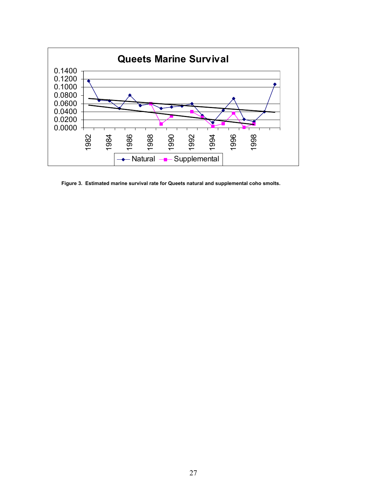

**Figure 3. Estimated marine survival rate for Queets natural and supplemental coho smolts.**